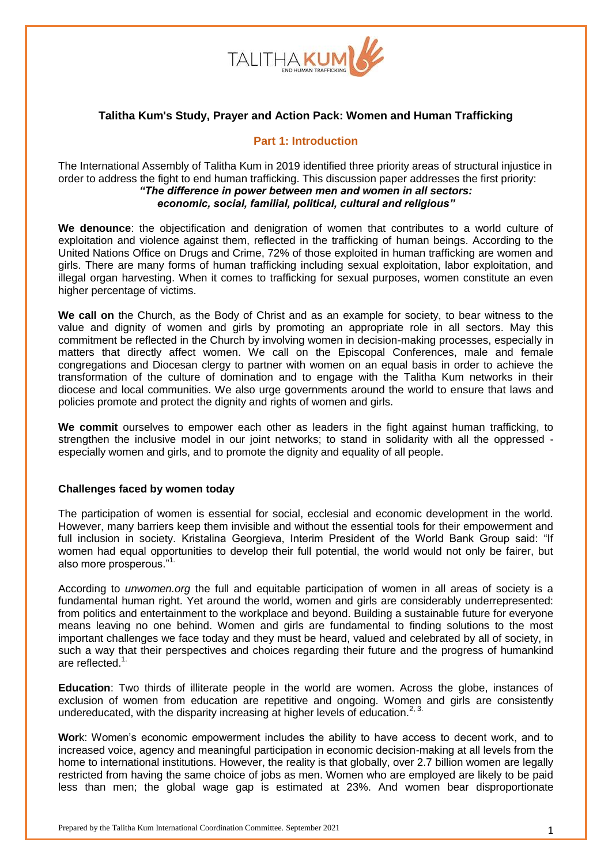

## **Talitha Kum's Study, Prayer and Action Pack: Women and Human Trafficking**

## **Part 1: Introduction**

The International Assembly of Talitha Kum in 2019 identified three priority areas of structural injustice in order to address the fight to end human trafficking. This discussion paper addresses the first priority: *"The difference in power between men and women in all sectors: economic, social, familial, political, cultural and religious"*

**We denounce**: the objectification and denigration of women that contributes to a world culture of exploitation and violence against them, reflected in the trafficking of human beings. According to the United Nations Office on Drugs and Crime, 72% of those exploited in human trafficking are women and girls. There are many forms of human trafficking including sexual exploitation, labor exploitation, and illegal organ harvesting. When it comes to trafficking for sexual purposes, women constitute an even higher percentage of victims.

**We call on** the Church, as the Body of Christ and as an example for society, to bear witness to the value and dignity of women and girls by promoting an appropriate role in all sectors. May this commitment be reflected in the Church by involving women in decision-making processes, especially in matters that directly affect women. We call on the Episcopal Conferences, male and female congregations and Diocesan clergy to partner with women on an equal basis in order to achieve the transformation of the culture of domination and to engage with the Talitha Kum networks in their diocese and local communities. We also urge governments around the world to ensure that laws and policies promote and protect the dignity and rights of women and girls.

**We commit** ourselves to empower each other as leaders in the fight against human trafficking, to strengthen the inclusive model in our joint networks; to stand in solidarity with all the oppressed especially women and girls, and to promote the dignity and equality of all people.

### **Challenges faced by women today**

The participation of women is essential for social, ecclesial and economic development in the world. However, many barriers keep them invisible and without the essential tools for their empowerment and full inclusion in society. Kristalina Georgieva, Interim President of the World Bank Group said: "If women had equal opportunities to develop their full potential, the world would not only be fairer, but also more prosperous."1.

According to *unwomen.org* the full and equitable participation of women in all areas of society is a fundamental human right. Yet around the world, women and girls are considerably underrepresented: from politics and entertainment to the workplace and beyond. Building a sustainable future for everyone means leaving no one behind. Women and girls are fundamental to finding solutions to the most important challenges we face today and they must be heard, valued and celebrated by all of society, in such a way that their perspectives and choices regarding their future and the progress of humankind are reflected.<sup>1</sup>

**Education**: Two thirds of illiterate people in the world are women. Across the globe, instances of exclusion of women from education are repetitive and ongoing. Women and girls are consistently undereducated, with the disparity increasing at higher levels of education.<sup>2, 3.</sup>

**Wor**k: Women's economic empowerment includes the ability to have access to decent work, and to increased voice, agency and meaningful participation in economic decision-making at all levels from the home to international institutions. However, the reality is that globally, over 2.7 billion women are legally restricted from having the same choice of jobs as men. Women who are employed are likely to be paid less than men; the global wage gap is estimated at 23%. And women bear disproportionate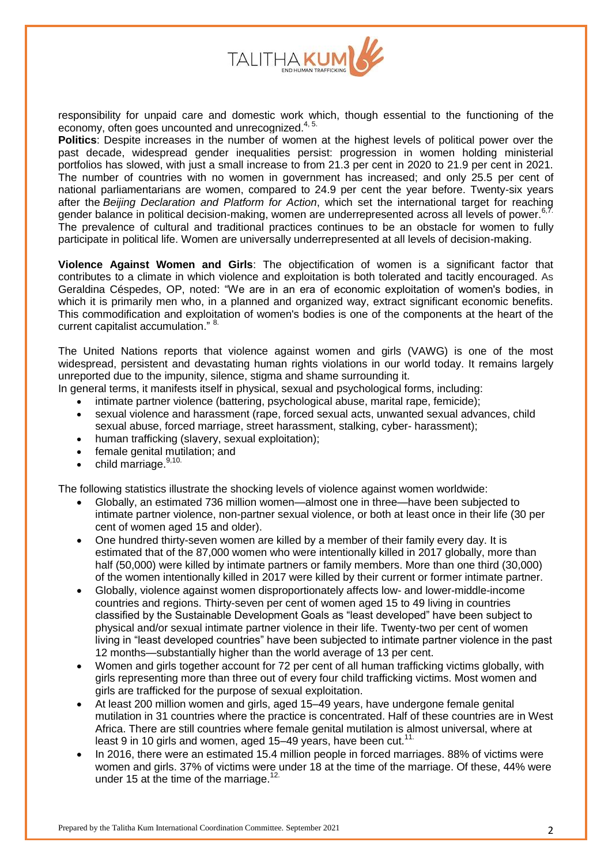

responsibility for unpaid care and domestic work which, though essential to the functioning of the economy, often goes uncounted and unrecognized.<sup>4, 5.</sup>

**Politics**: Despite increases in the number of women at the highest levels of political power over the past decade, widespread gender inequalities persist: progression in women holding ministerial portfolios has slowed, with just a small increase to from 21.3 per cent in 2020 to 21.9 per cent in 2021. The number of countries with no women in government has increased; and only 25.5 per cent of national parliamentarians are women, compared to 24.9 per cent the year before. Twenty-six years after the *Beijing [Declaration](https://www.unwomen.org/en/digital-library/publications/2015/01/beijing-declaration) and Platform for Action*, which set the international target for reaching gender balance in political decision-making, women are underrepresented across all levels of power.<sup>6,7</sup> The prevalence of cultural and traditional practices continues to be an obstacle for women to fully participate in political life. Women are universally underrepresented at all levels of decision-making.

**Violence Against Women and Girls**: The objectification of women is a significant factor that contributes to a climate in which violence and exploitation is both tolerated and tacitly encouraged. As Geraldina Céspedes, OP, noted: "We are in an era of economic exploitation of women's bodies, in which it is primarily men who, in a planned and organized way, extract significant economic benefits. This commodification and exploitation of women's bodies is one of the components at the heart of the current capitalist accumulation." <sup>8.</sup>

The United Nations reports that violence against women and girls (VAWG) is one of the most widespread, persistent and devastating human rights violations in our world today. It remains largely unreported due to the impunity, silence, stigma and shame surrounding it.

In general terms, it manifests itself in physical, sexual and psychological forms, including:

- intimate partner violence (battering, psychological abuse, marital rape, femicide);
- sexual violence and harassment (rape, forced sexual acts, unwanted sexual advances, child sexual abuse, forced marriage, street harassment, stalking, cyber- harassment);
- human trafficking (slavery, sexual exploitation);
- female genital mutilation; and
- child marriage.<sup>9,10.</sup>

The following statistics illustrate the shocking levels of violence against women worldwide:

- Globally, an estimated 736 million women—almost one in three—have been subjected to intimate partner violence, non-partner sexual violence, or both at least once in their life (30 per cent of women aged 15 and older).
- One hundred thirty-seven women are killed by a member of their family every day. It is estimated that of the 87,000 women who were intentionally killed in 2017 globally, more than half (50,000) were killed by intimate partners or family members. More than one third (30,000) of the women intentionally killed in 2017 were killed by their current or former intimate partner.
- Globally, violence against women disproportionately affects low- and lower-middle-income countries and regions. Thirty-seven per cent of women aged 15 to 49 living in countries classified by the Sustainable Development Goals as "least developed" have been subject to physical and/or sexual intimate partner violence in their life. Twenty-two per cent of women living in "least developed countries" have been subjected to intimate partner violence in the past 12 months—substantially higher than the world average of 13 per cent.
- Women and girls together account for 72 per cent of all human trafficking victims globally, with girls representing more than three out of every four child trafficking victims. Most women and girls are trafficked for the purpose of sexual exploitation.
- At least 200 million women and girls, aged 15–49 years, have undergone female genital mutilation in 31 countries where the practice is concentrated. Half of these countries are in West Africa. There are still countries where female genital mutilation is almost universal, where at least 9 in 10 girls and women, aged 15–49 years, have been cut.<sup>11.</sup>
- In 2016, there were an estimated 15.4 million people in forced marriages. 88% of victims were women and girls. 37% of victims were under 18 at the time of the marriage. Of these, 44% were under 15 at the time of the marriage.<sup>12.</sup>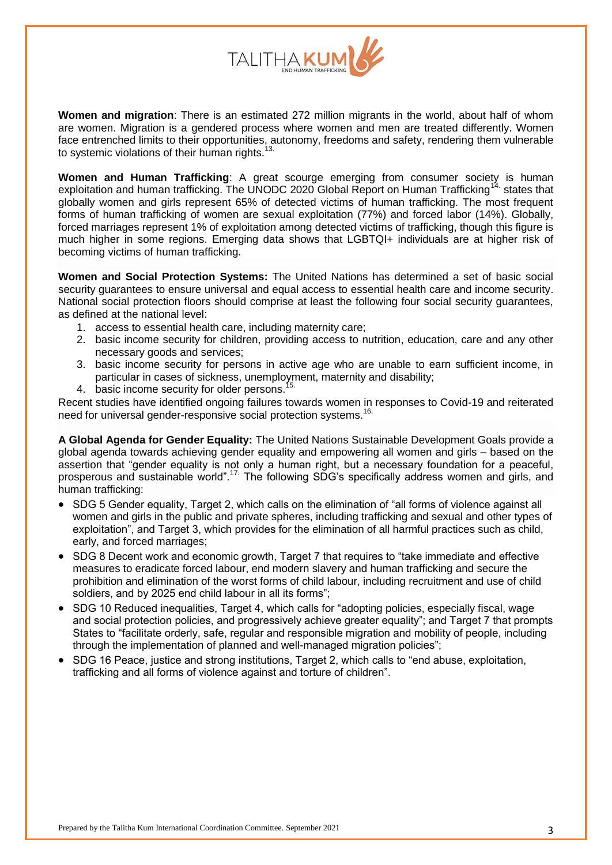

**Women and migration**: There is an estimated 272 million migrants in the world, about half of whom are women. Migration is a gendered process where women and men are treated differently. Women face entrenched limits to their opportunities, autonomy, freedoms and safety, rendering them vulnerable to systemic violations of their human rights.<sup>1</sup>

**Women and Human Trafficking**: A great scourge emerging from consumer society is human exploitation and human trafficking. The UNODC 2020 Global Report on Human Trafficking<sup>14</sup> states that globally women and girls represent 65% of detected victims of human trafficking. The most frequent forms of human trafficking of women are sexual exploitation (77%) and forced labor (14%). Globally, forced marriages represent 1% of exploitation among detected victims of trafficking, though this figure is much higher in some regions. Emerging data shows that LGBTQI+ individuals are at higher risk of becoming victims of human trafficking.

**Women and Social Protection Systems:** The United Nations has determined a set of basic social security guarantees to ensure universal and equal access to essential health care and income security. National social protection floors should comprise at least the following four social security guarantees, as defined at the national level:

- 1. access to essential health care, including maternity care;
- 2. basic income security for children, providing access to nutrition, education, care and any other necessary goods and services;
- 3. basic income security for persons in active age who are unable to earn sufficient income, in particular in cases of sickness, unemployment, maternity and disability;
- 4. basic income security for older persons.<sup>1</sup>

Recent studies have identified ongoing failures towards women in responses to Covid-19 and reiterated need for universal gender-responsive social protection systems.<sup>16.</sup>

**A Global Agenda for Gender Equality:** The United Nations Sustainable Development Goals provide a global agenda towards achieving gender equality and empowering all women and girls – based on the assertion that "gender equality is not only a human right, but a necessary foundation for a peaceful, prosperous and sustainable world".<sup>17</sup> The following SDG's specifically address women and girls, and human trafficking:

- SDG 5 Gender equality, Target 2, which calls on the elimination of "all forms of violence against all women and girls in the public and private spheres, including trafficking and sexual and other types of exploitation", and Target 3, which provides for the elimination of all harmful practices such as child, early, and forced marriages;
- SDG 8 Decent work and economic growth, Target 7 that requires to "take immediate and effective measures to eradicate forced labour, end modern slavery and human trafficking and secure the prohibition and elimination of the worst forms of child labour, including recruitment and use of child soldiers, and by 2025 end child labour in all its forms";
- SDG 10 Reduced inequalities, Target 4, which calls for "adopting policies, especially fiscal, wage and social protection policies, and progressively achieve greater equality"; and Target 7 that prompts States to "facilitate orderly, safe, regular and responsible migration and mobility of people, including through the implementation of planned and well-managed migration policies";
- SDG 16 Peace, justice and strong institutions, Target 2, which calls to "end abuse, exploitation, trafficking and all forms of violence against and torture of children".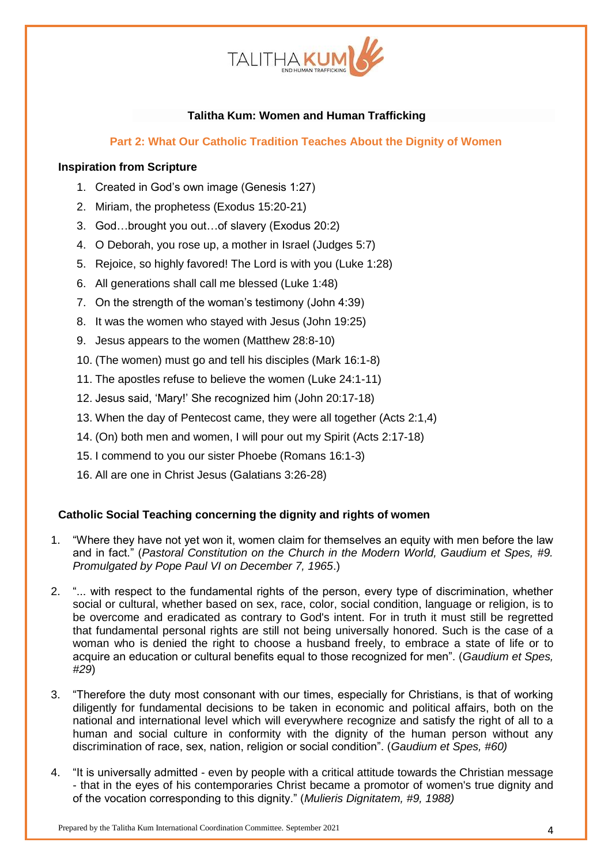

# **Talitha Kum: Women and Human Trafficking**

**Part 2: What Our Catholic Tradition Teaches About the Dignity of Women**

## **Inspiration from Scripture**

- 1. Created in God's own image (Genesis 1:27)
- 2. Miriam, the prophetess (Exodus 15:20-21)
- 3. God…brought you out…of slavery (Exodus 20:2)
- 4. O Deborah, you rose up, a mother in Israel (Judges 5:7)
- 5. Rejoice, so highly favored! The Lord is with you (Luke 1:28)
- 6. All generations shall call me blessed (Luke 1:48)
- 7. On the strength of the woman's testimony (John 4:39)
- 8. It was the women who stayed with Jesus (John 19:25)
- 9. Jesus appears to the women (Matthew 28:8-10)
- 10. (The women) must go and tell his disciples (Mark 16:1-8)
- 11. The apostles refuse to believe the women (Luke 24:1-11)
- 12. Jesus said, 'Mary!' She recognized him (John 20:17-18)
- 13. When the day of Pentecost came, they were all together (Acts 2:1,4)
- 14. (On) both men and women, I will pour out my Spirit (Acts 2:17-18)
- 15. I commend to you our sister Phoebe (Romans 16:1-3)
- 16. All are one in Christ Jesus (Galatians 3:26-28)

### **Catholic Social Teaching concerning the dignity and rights of women**

- 1. "Where they have not yet won it, women claim for themselves an equity with men before the law and in fact." (*Pastoral Constitution on the Church in the Modern World, Gaudium et Spes, #9. Promulgated by Pope Paul VI on December 7, 1965*.)
- 2. "... with respect to the fundamental rights of the person, every type of discrimination, whether social or cultural, whether based on sex, race, color, social condition, language or religion, is to be overcome and eradicated as contrary to God's intent. For in truth it must still be regretted that fundamental personal rights are still not being universally honored. Such is the case of a woman who is denied the right to choose a husband freely, to embrace a state of life or to acquire an education or cultural benefits equal to those recognized for men". (*Gaudium et Spes, #29*)
- 3. "Therefore the duty most consonant with our times, especially for Christians, is that of working diligently for fundamental decisions to be taken in economic and political affairs, both on the national and international level which will everywhere recognize and satisfy the right of all to a human and social culture in conformity with the dignity of the human person without any discrimination of race, sex, nation, religion or social condition". (*Gaudium et Spes, #60)*
- 4. "It is universally admitted even by people with a critical attitude towards the Christian message - that in the eyes of his contemporaries Christ became a promotor of women's true dignity and of the vocation corresponding to this dignity." (*Mulieris Dignitatem, #9, 1988)*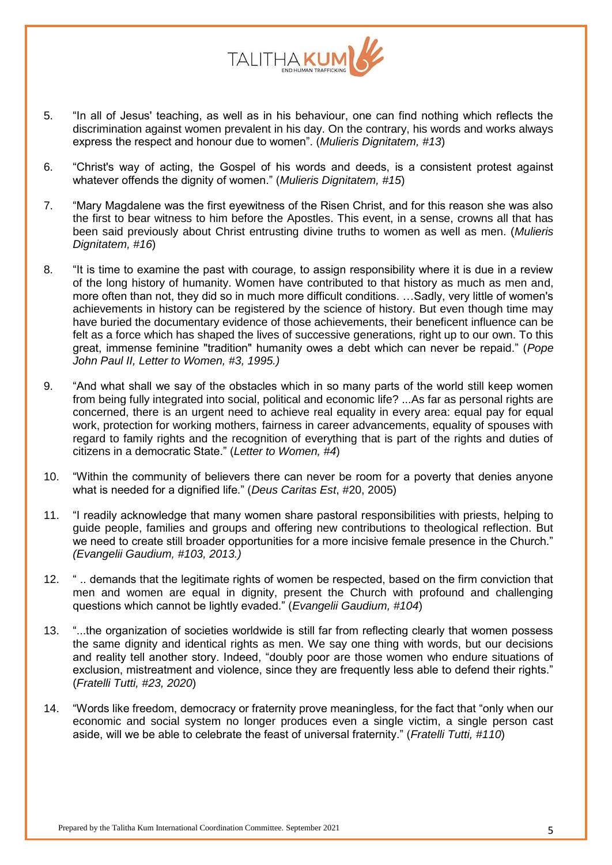

- 5. "In all of Jesus' teaching, as well as in his behaviour, one can find nothing which reflects the discrimination against women prevalent in his day. On the contrary, his words and works always express the respect and honour due to women". (*Mulieris Dignitatem, #13*)
- 6. "Christ's way of acting, the Gospel of his words and deeds, is a consistent protest against whatever offends the dignity of women." (*Mulieris Dignitatem, #15*)
- 7. "Mary Magdalene was the first eyewitness of the Risen Christ, and for this reason she was also the first to bear witness to him before the Apostles. This event, in a sense, crowns all that has been said previously about Christ entrusting divine truths to women as well as men. (*Mulieris Dignitatem, #16*)
- 8. "It is time to examine the past with courage, to assign responsibility where it is due in a review of the long history of humanity. Women have contributed to that history as much as men and, more often than not, they did so in much more difficult conditions. …Sadly, very little of women's achievements in history can be registered by the science of history. But even though time may have buried the documentary evidence of those achievements, their beneficent influence can be felt as a force which has shaped the lives of successive generations, right up to our own. To this great, immense feminine "tradition" humanity owes a debt which can never be repaid." (*Pope John Paul II, Letter to Women, #3, 1995.)*
- 9. "And what shall we say of the obstacles which in so many parts of the world still keep women from being fully integrated into social, political and economic life? ...As far as personal rights are concerned, there is an urgent need to achieve real equality in every area: equal pay for equal work, protection for working mothers, fairness in career advancements, equality of spouses with regard to family rights and the recognition of everything that is part of the rights and duties of citizens in a democratic State." (*Letter to Women, #4*)
- 10. "Within the community of believers there can never be room for a poverty that denies anyone what is needed for a dignified life." (*Deus Caritas Est*, #20, 2005)
- 11. "I readily acknowledge that many women share pastoral responsibilities with priests, helping to guide people, families and groups and offering new contributions to theological reflection. But we need to create still broader opportunities for a more incisive female presence in the Church." *(Evangelii Gaudium, #103, 2013.)*
- 12. " .. demands that the legitimate rights of women be respected, based on the firm conviction that men and women are equal in dignity, present the Church with profound and challenging questions which cannot be lightly evaded." (*Evangelii Gaudium, #104*)
- 13. "...the organization of societies worldwide is still far from reflecting clearly that women possess the same dignity and identical rights as men. We say one thing with words, but our decisions and reality tell another story. Indeed, "doubly poor are those women who endure situations of exclusion, mistreatment and violence, since they are frequently less able to defend their rights." (*Fratelli Tutti, #23, 2020*)
- 14. "Words like freedom, democracy or fraternity prove meaningless, for the fact that "only when our economic and social system no longer produces even a single victim, a single person cast aside, will we be able to celebrate the feast of universal fraternity." (*Fratelli Tutti, #110*)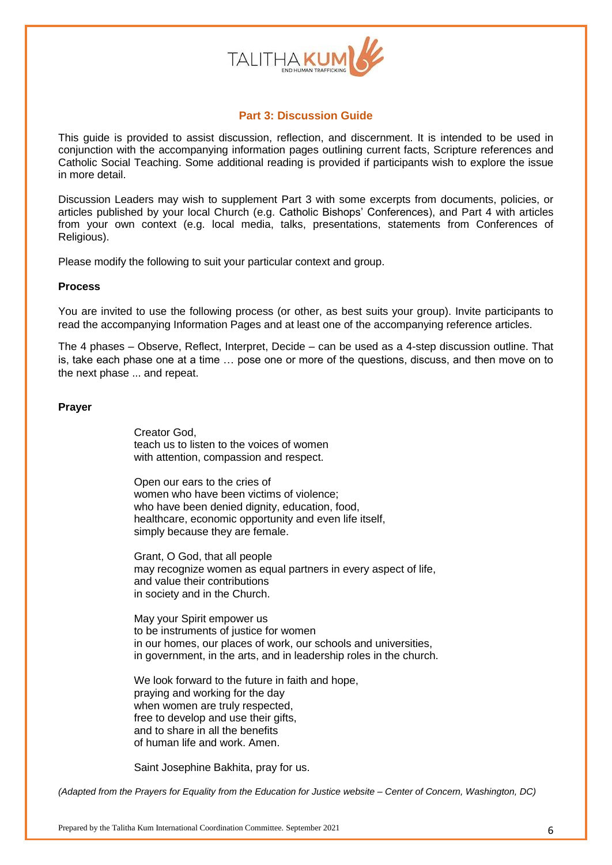

### **Part 3: Discussion Guide**

This guide is provided to assist discussion, reflection, and discernment. It is intended to be used in conjunction with the accompanying information pages outlining current facts, Scripture references and Catholic Social Teaching. Some additional reading is provided if participants wish to explore the issue in more detail.

Discussion Leaders may wish to supplement Part 3 with some excerpts from documents, policies, or articles published by your local Church (e.g. Catholic Bishops' Conferences), and Part 4 with articles from your own context (e.g. local media, talks, presentations, statements from Conferences of Religious).

Please modify the following to suit your particular context and group.

### **Process**

You are invited to use the following process (or other, as best suits your group). Invite participants to read the accompanying Information Pages and at least one of the accompanying reference articles.

The 4 phases – Observe, Reflect, Interpret, Decide – can be used as a 4-step discussion outline. That is, take each phase one at a time … pose one or more of the questions, discuss, and then move on to the next phase ... and repeat.

### **Prayer**

Creator God, teach us to listen to the voices of women with attention, compassion and respect.

Open our ears to the cries of women who have been victims of violence; who have been denied dignity, education, food, healthcare, economic opportunity and even life itself, simply because they are female.

Grant, O God, that all people may recognize women as equal partners in every aspect of life, and value their contributions in society and in the Church.

May your Spirit empower us to be instruments of justice for women in our homes, our places of work, our schools and universities, in government, in the arts, and in leadership roles in the church.

We look forward to the future in faith and hope, praying and working for the day when women are truly respected, free to develop and use their gifts. and to share in all the benefits of human life and work. Amen.

Saint Josephine Bakhita, pray for us.

*(Adapted from the Prayers for Equality from the Education for Justice website – Center of Concern, Washington, DC)*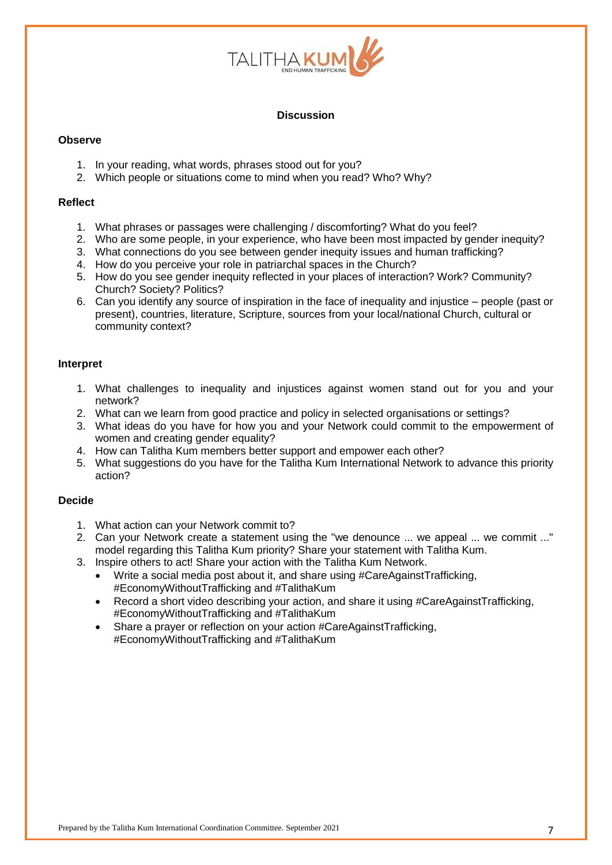

### **Discussion**

### **Observe**

- 1. In your reading, what words, phrases stood out for you?
- 2. Which people or situations come to mind when you read? Who? Why?

### **Reflect**

- 1. What phrases or passages were challenging / discomforting? What do you feel?
- 2. Who are some people, in your experience, who have been most impacted by gender inequity?
- 3. What connections do you see between gender inequity issues and human trafficking?
- 4. How do you perceive your role in patriarchal spaces in the Church?
- 5. How do you see gender inequity reflected in your places of interaction? Work? Community? Church? Society? Politics?
- 6. Can you identify any source of inspiration in the face of inequality and injustice people (past or present), countries, literature, Scripture, sources from your local/national Church, cultural or community context?

## **Interpret**

- 1. What challenges to inequality and injustices against women stand out for you and your network?
- 2. What can we learn from good practice and policy in selected organisations or settings?
- 3. What ideas do you have for how you and your Network could commit to the empowerment of women and creating gender equality?
- 4. How can Talitha Kum members better support and empower each other?
- 5. What suggestions do you have for the Talitha Kum International Network to advance this priority action?

### **Decide**

- 1. What action can your Network commit to?
- 2. Can your Network create a statement using the "we denounce ... we appeal ... we commit ..." model regarding this Talitha Kum priority? Share your statement with Talitha Kum.
- 3. Inspire others to act! Share your action with the Talitha Kum Network.
	- Write a social media post about it, and share using #CareAgainstTrafficking, #EconomyWithoutTrafficking and #TalithaKum
	- Record a short video describing your action, and share it using #CareAgainstTrafficking, #EconomyWithoutTrafficking and #TalithaKum
	- Share a prayer or reflection on your action #CareAgainstTrafficking, #EconomyWithoutTrafficking and #TalithaKum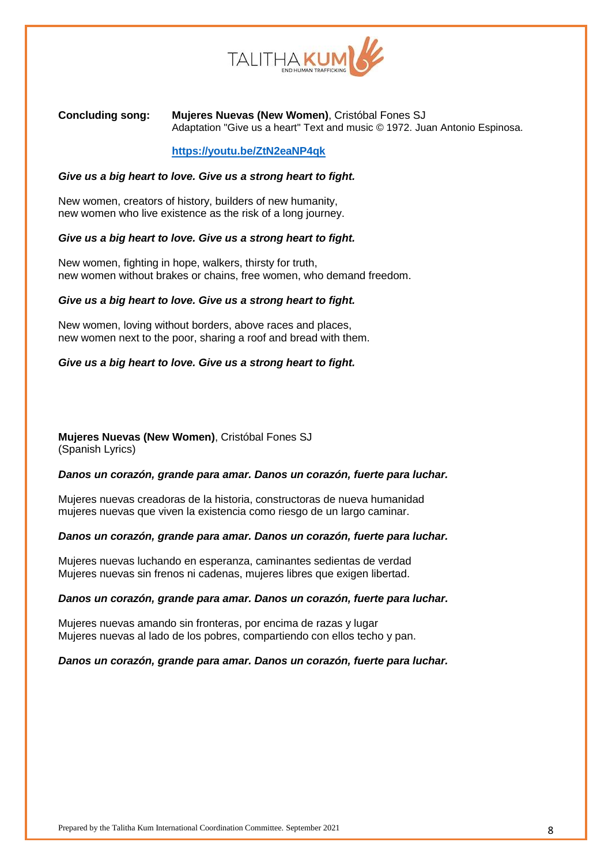

### **Concluding song: Mujeres Nuevas (New Women)**, Cristóbal Fones SJ Adaptation "Give us a heart" Text and music © 1972. Juan Antonio Espinosa.

### **<https://youtu.be/ZtN2eaNP4qk>**

### *Give us a big heart to love. Give us a strong heart to fight.*

New women, creators of history, builders of new humanity, new women who live existence as the risk of a long journey.

#### *Give us a big heart to love. Give us a strong heart to fight.*

New women, fighting in hope, walkers, thirsty for truth, new women without brakes or chains, free women, who demand freedom.

#### *Give us a big heart to love. Give us a strong heart to fight.*

New women, loving without borders, above races and places, new women next to the poor, sharing a roof and bread with them.

### *Give us a big heart to love. Give us a strong heart to fight.*

### **Mujeres Nuevas (New Women)**, Cristóbal Fones SJ (Spanish Lyrics)

#### *Danos un corazón, grande para amar. Danos un corazón, fuerte para luchar.*

Mujeres nuevas creadoras de la historia, constructoras de nueva humanidad mujeres nuevas que viven la existencia como riesgo de un largo caminar.

#### *Danos un corazón, grande para amar. Danos un corazón, fuerte para luchar.*

Mujeres nuevas luchando en esperanza, caminantes sedientas de verdad Mujeres nuevas sin frenos ni cadenas, mujeres libres que exigen libertad.

#### *Danos un corazón, grande para amar. Danos un corazón, fuerte para luchar.*

Mujeres nuevas amando sin fronteras, por encima de razas y lugar Mujeres nuevas al lado de los pobres, compartiendo con ellos techo y pan.

#### *Danos un corazón, grande para amar. Danos un corazón, fuerte para luchar.*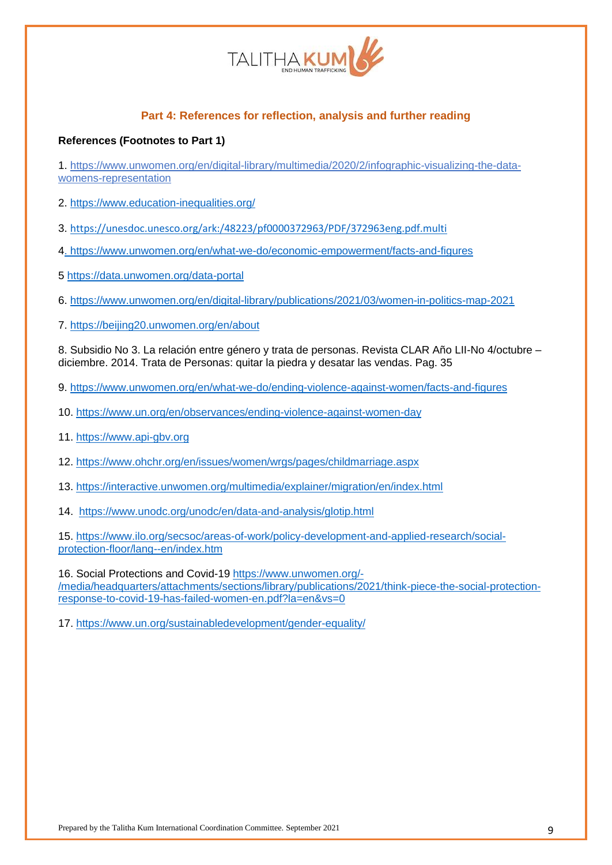

# **Part 4: References for reflection, analysis and further reading**

### **References (Footnotes to Part 1)**

1. [https://www.unwomen.org/en/digital-library/multimedia/2020/2/infographic-visualizing-the-data](https://www.unwomen.org/en/digital-library/multimedia/2020/2/infographic-visualizing-the-data-womens-representation)[womens-representation](https://www.unwomen.org/en/digital-library/multimedia/2020/2/infographic-visualizing-the-data-womens-representation)

2.<https://www.education-inequalities.org/>

3. <https://unesdoc.unesco.org/ark:/48223/pf0000372963/PDF/372963eng.pdf.multi>

[4. https://www.unwomen.org/en/what-we-do/economic-empowerment/facts-and-figures](https://www.unwomen.org/en/what-we-do/economic-empowerment/facts-and-figures)

5<https://data.unwomen.org/data-portal>

6.<https://www.unwomen.org/en/digital-library/publications/2021/03/women-in-politics-map-2021>

7.<https://beijing20.unwomen.org/en/about>

8. Subsidio No 3. La relación entre género y trata de personas. Revista CLAR Año LII-No 4/octubre – diciembre. 2014. Trata de Personas: quitar la piedra y desatar las vendas. Pag. 35

9.<https://www.unwomen.org/en/what-we-do/ending-violence-against-women/facts-and-figures>

- 10.<https://www.un.org/en/observances/ending-violence-against-women-day>
- 11. [https://www.api-gbv.org](https://www.api-gbv.org/)
- 12.<https://www.ohchr.org/en/issues/women/wrgs/pages/childmarriage.aspx>

13.<https://interactive.unwomen.org/multimedia/explainer/migration/en/index.html>

14. <https://www.unodc.org/unodc/en/data-and-analysis/glotip.html>

15. [https://www.ilo.org/secsoc/areas-of-work/policy-development-and-applied-research/social](https://www.ilo.org/secsoc/areas-of-work/policy-development-and-applied-research/social-protection-floor/lang--en/index.htm)[protection-floor/lang--en/index.htm](https://www.ilo.org/secsoc/areas-of-work/policy-development-and-applied-research/social-protection-floor/lang--en/index.htm)

16. Social Protections and Covid-19 [https://www.unwomen.org/-](https://www.unwomen.org/-/media/headquarters/attachments/sections/library/publications/2021/think-piece-the-social-protection-response-to-covid-19-has-failed-women-en.pdf?la=en&vs=0) [/media/headquarters/attachments/sections/library/publications/2021/think-piece-the-social-protection](https://www.unwomen.org/-/media/headquarters/attachments/sections/library/publications/2021/think-piece-the-social-protection-response-to-covid-19-has-failed-women-en.pdf?la=en&vs=0)[response-to-covid-19-has-failed-women-en.pdf?la=en&vs=0](https://www.unwomen.org/-/media/headquarters/attachments/sections/library/publications/2021/think-piece-the-social-protection-response-to-covid-19-has-failed-women-en.pdf?la=en&vs=0)

17.<https://www.un.org/sustainabledevelopment/gender-equality/>